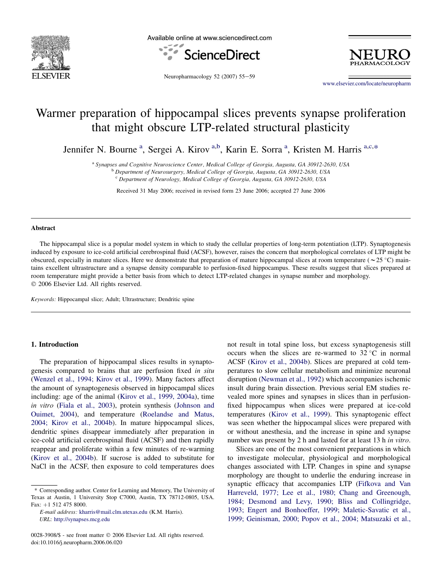

Available online at www.sciencedirect.com





Neuropharmacology 52 (2007) 55-59

[www.elsevier.com/locate/neuropharm](http://www.elsevier.com/locate/neuropharm)

# Warmer preparation of hippocampal slices prevents synapse proliferation that might obscure LTP-related structural plasticity

Jennifer N. Bourne<sup>a</sup>, Sergei A. Kirov<sup>a,b</sup>, Karin E. Sorra<sup>a</sup>, Kristen M. Harris<sup>a,c,\*</sup>

<sup>a</sup> Synapses and Cognitive Neuroscience Center, Medical College of Georgia, Augusta, GA 30912-2630, USA<br><sup>b</sup> Department of Neurosurgery, Medical College of Georgia, Augusta, GA 30912-2630, USA

<sup>c</sup> Department of Neurology, Medical College of Georgia, Augusta, GA 30912-2630, USA

Received 31 May 2006; received in revised form 23 June 2006; accepted 27 June 2006

## Abstract

The hippocampal slice is a popular model system in which to study the cellular properties of long-term potentiation (LTP). Synaptogenesis induced by exposure to ice-cold artificial cerebrospinal fluid (ACSF), however, raises the concern that morphological correlates of LTP might be obscured, especially in mature slices. Here we demonstrate that preparation of mature hippocampal slices at room temperature ( $\sim$ 25 °C) maintains excellent ultrastructure and a synapse density comparable to perfusion-fixed hippocampus. These results suggest that slices prepared at room temperature might provide a better basis from which to detect LTP-related changes in synapse number and morphology. 2006 Elsevier Ltd. All rights reserved.

Keywords: Hippocampal slice; Adult; Ultrastructure; Dendritic spine

# 1. Introduction

The preparation of hippocampal slices results in synaptogenesis compared to brains that are perfusion fixed in situ ([Wenzel et al., 1994; Kirov et al., 1999](#page-4-0)). Many factors affect the amount of synaptogenesis observed in hippocampal slices including: age of the animal [\(Kirov et al., 1999, 2004a\)](#page-4-0), time in vitro [\(Fiala et al., 2003](#page-4-0)), protein synthesis ([Johnson and](#page-4-0) [Ouimet, 2004](#page-4-0)), and temperature [\(Roelandse and Matus,](#page-4-0) [2004; Kirov et al., 2004b\)](#page-4-0). In mature hippocampal slices, dendritic spines disappear immediately after preparation in ice-cold artificial cerebrospinal fluid (ACSF) and then rapidly reappear and proliferate within a few minutes of re-warming ([Kirov et al., 2004b](#page-4-0)). If sucrose is added to substitute for NaCl in the ACSF, then exposure to cold temperatures does not result in total spine loss, but excess synaptogenesis still occurs when the slices are re-warmed to  $32^{\circ}$ C in normal ACSF ([Kirov et al., 2004b](#page-4-0)). Slices are prepared at cold temperatures to slow cellular metabolism and minimize neuronal disruption ([Newman et al., 1992](#page-4-0)) which accompanies ischemic insult during brain dissection. Previous serial EM studies revealed more spines and synapses in slices than in perfusionfixed hippocampus when slices were prepared at ice-cold temperatures ([Kirov et al., 1999\)](#page-4-0). This synaptogenic effect was seen whether the hippocampal slices were prepared with or without anesthesia, and the increase in spine and synapse number was present by 2 h and lasted for at least 13 h in vitro.

Slices are one of the most convenient preparations in which to investigate molecular, physiological and morphological changes associated with LTP. Changes in spine and synapse morphology are thought to underlie the enduring increase in synaptic efficacy that accompanies LTP ([Fifkova and Van](#page-4-0) [Harreveld, 1977; Lee et al., 1980; Chang and Greenough,](#page-4-0) [1984; Desmond and Levy, 1990; Bliss and Collingridge,](#page-4-0) [1993; Engert and Bonhoeffer, 1999; Maletic-Savatic et al.,](#page-4-0) [1999; Geinisman, 2000; Popov et al., 2004; Matsuzaki et al.,](#page-4-0)

<sup>\*</sup> Corresponding author. Center for Learning and Memory, The University of Texas at Austin, 1 University Stop C7000, Austin, TX 78712-0805, USA. Fax: +1 512 475 8000.

E-mail address: [kharris@mail.clm.utexas.edu](mailto:kharris@mail.clm.utexas.edu) (K.M. Harris). URL: <http://synapses.mcg.edu>

<sup>0028-3908/\$ -</sup> see front matter © 2006 Elsevier Ltd. All rights reserved. doi:10.1016/j.neuropharm.2006.06.020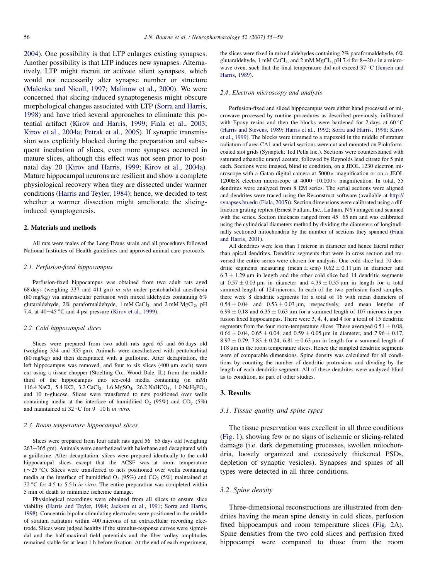[2004\)](#page-4-0). One possibility is that LTP enlarges existing synapses. Another possibility is that LTP induces new synapses. Alternatively, LTP might recruit or activate silent synapses, which would not necessarily alter synapse number or structure [\(Malenka and Nicoll, 1997; Malinow et al., 2000\)](#page-4-0). We were concerned that slicing-induced synaptogenesis might obscure morphological changes associated with LTP [\(Sorra and Harris,](#page-4-0) [1998\)](#page-4-0) and have tried several approaches to eliminate this potential artifact [\(Kirov and Harris, 1999; Fiala et al., 2003;](#page-4-0) [Kirov et al., 2004a; Petrak et al., 2005\)](#page-4-0). If synaptic transmission was explicitly blocked during the preparation and subsequent incubation of slices, even more synapses occurred in mature slices, although this effect was not seen prior to postnatal day 20 ([Kirov and Harris, 1999; Kirov et al., 2004a\)](#page-4-0). Mature hippocampal neurons are resilient and show a complete physiological recovery when they are dissected under warmer conditions [\(Harris and Teyler, 1984\)](#page-4-0); hence, we decided to test whether a warmer dissection might ameliorate the slicinginduced synaptogenesis.

#### 2. Materials and methods

All rats were males of the Long-Evans strain and all procedures followed National Institutes of Health guidelines and approved animal care protocols.

## 2.1. Perfusion-fixed hippocampus

Perfusion-fixed hippocampus was obtained from two adult rats aged 68 days (weighing 337 and 411 gm) in situ under pentobarbital anesthesia (80 mg/kg) via intravascular perfusion with mixed aldehydes containing 6% glutaraldehyde,  $2\%$  paraformaldehyde, 1 mM CaCl<sub>2</sub>, and 2 mM MgCl<sub>2</sub>, pH 7.4, at  $40-45$  °C and 4 psi pressure ([Kirov et al., 1999](#page-4-0)).

## 2.2. Cold hippocampal slices

Slices were prepared from two adult rats aged 65 and 66 days old (weighing 334 and 355 gm). Animals were anesthetized with pentobarbital (80 mg/kg) and then decapitated with a guillotine. After decapitation, the left hippocampus was removed, and four to six slices (400 µm each) were cut using a tissue chopper (Stoelting Co., Wood Dale, IL) from the middle third of the hippocampus into ice-cold media containing (in mM) 116.4 NaCl, 5.4 KCl, 3.2 CaCl<sub>2</sub>, 1.6 MgSO<sub>4</sub>, 26.2 NaHCO<sub>3</sub>, 1.0 NaH<sub>2</sub>PO<sub>4</sub>, and 10 D-glucose. Slices were transferred to nets positioned over wells containing media at the interface of humidified  $O_2$  (95%) and  $CO_2$  (5%) and maintained at 32 °C for 9-10 h in vitro.

## 2.3. Room temperature hippocampal slices

Slices were prepared from four adult rats aged  $56-65$  days old (weighing  $263-365$  gm). Animals were anesthetized with halothane and decapitated with a guillotine. After decapitation, slices were prepared identically to the cold hippocampal slices except that the ACSF was at room temperature ( $\sim$ 25 °C). Slices were transferred to nets positioned over wells containing media at the interface of humidified  $O_2$  (95%) and  $CO_2$  (5%) maintained at 32 °C for 4.5 to 5.5 h in vitro. The entire preparation was completed within 5 min of death to minimize ischemic damage.

Physiological recordings were obtained from all slices to ensure slice viability ([Harris and Teyler, 1984; Jackson et al., 1991; Sorra and Harris,](#page-4-0) [1998\)](#page-4-0). Concentric bipolar stimulating electrodes were positioned in the middle of stratum radiatum within 400 microns of an extracellular recording electrode. Slices were judged healthy if the stimulus-response curves were sigmoidal and the half-maximal field potentials and the fiber volley amplitudes remained stable for at least 1 h before fixation. At the end of each experiment, the slices were fixed in mixed aldehydes containing 2% paraformaldehyde, 6% glutaraldehyde, 1 mM CaCl<sub>2</sub>, and 2 mM MgCl<sub>2</sub>, pH 7.4 for 8-20 s in a microwave oven, such that the final temperature did not exceed  $37^{\circ}$ C [\(Jensen and](#page-4-0) [Harris, 1989](#page-4-0)).

#### 2.4. Electron microscopy and analysis

Perfusion-fixed and sliced hippocampus were either hand processed or microwave processed by routine procedures as described previously, infiltrated with Epoxy resins and then the blocks were hardened for 2 days at  $60^{\circ}$ C [\(Harris and Stevens, 1989; Harris et al., 1992; Sorra and Harris, 1998; Kirov](#page-4-0) [et al., 1999\)](#page-4-0). The blocks were trimmed to a trapezoid in the middle of stratum radiatum of area CA1 and serial sections were cut and mounted on Pioloformcoated slot grids (Synaptek; Ted Pella Inc.). Sections were counterstained with saturated ethanolic uranyl acetate, followed by Reynolds lead citrate for 5 min each. Sections were imaged, blind to condition, on a JEOL 1230 electron microscope with a Gatan digital camera at  $5000 \times$  magnification or on a JEOL 1200EX electron microscope at  $4000-10,000\times$  magnification. In total, 55 dendrites were analyzed from 8 EM series. The serial sections were aligned and dendrites were traced using the Reconstruct software (available at [http://](http://synapses.bu.edu) [synapses.bu.edu](http://synapses.bu.edu) ([Fiala, 2005](#page-4-0))). Section dimensions were calibrated using a diffraction grating replica (Ernest Fullam, Inc., Latham, NY) imaged and scanned with the series. Section thickness ranged from 45-65 nm and was calibrated using the cylindrical diameters method by dividing the diameters of longitudinally sectioned mitochondria by the number of sections they spanned ([Fiala](#page-4-0) [and Harris, 2001](#page-4-0)).

All dendrites were less than 1 micron in diameter and hence lateral rather than apical dendrites. Dendritic segments that were in cross section and traversed the entire series were chosen for analysis. One cold slice had 10 dendritic segments measuring (mean  $\pm$  sem)  $0.62 \pm 0.11$  µm in diameter and  $6.3 \pm 1.29$  µm in length and the other cold slice had 14 dendritic segments at  $0.57 \pm 0.03$  µm in diameter and  $4.39 \pm 0.35$  µm in length for a total summed length of 124 microns. In each of the two perfusion fixed samples, there were 8 dendritic segments for a total of 16 with mean diameters of  $0.54 \pm 0.04$  and  $0.53 \pm 0.03$  µm, respectively, and mean lengths of  $6.99 \pm 0.18$  and  $6.35 \pm 0.63$  µm for a summed length of 107 microns in perfusion fixed hippocampus. There were 3, 4, 4, and 4 for a total of 15 dendritic segments from the four room-temperature slices. These averaged  $0.51 \pm 0.08$ ,  $0.66 \pm 0.04$ ,  $0.65 \pm 0.04$ , and  $0.59 \pm 0.05$  µm in diameter, and  $7.96 \pm 0.17$ ,  $8.97 \pm 0.79$ ,  $7.83 \pm 0.24$ ,  $6.81 \pm 0.63$  µm in length for a summed length of 118 µm in the room temperature slices. Hence the sampled dendritic segments were of comparable dimensions. Spine density was calculated for all conditions by counting the number of dendritic protrusions and dividing by the length of each dendritic segment. All of these dendrites were analyzed blind as to condition, as part of other studies.

# 3. Results

# 3.1. Tissue quality and spine types

The tissue preservation was excellent in all three conditions [\(Fig. 1](#page-2-0)), showing few or no signs of ischemic or slicing-related damage (i.e. dark degenerating processes, swollen mitochondria, loosely organized and excessively thickened PSDs, depletion of synaptic vesicles). Synapses and spines of all types were detected in all three conditions.

## 3.2. Spine density

Three-dimensional reconstructions are illustrated from dendrites having the mean spine density in cold slices, perfusion fixed hippocampus and room temperature slices ([Fig. 2A](#page-3-0)). Spine densities from the two cold slices and perfusion fixed hippocampi were compared to those from the room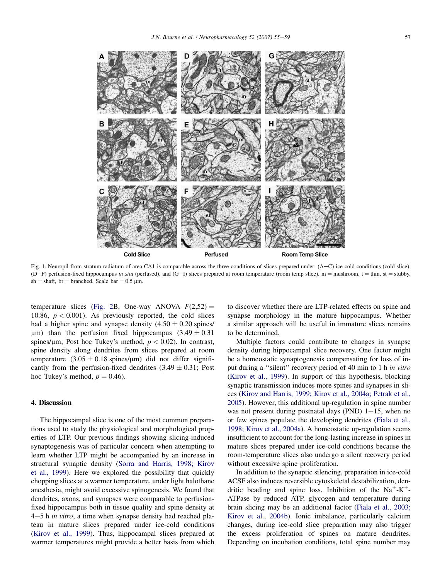<span id="page-2-0"></span>**Cold Slice** Perfused **Room Temp Slice** 

Fig. 1. Neuropil from stratum radiatum of area CA1 is comparable across the three conditions of slices prepared under: (A-C) ice-cold conditions (cold slice), (D-F) perfusion-fixed hippocampus in situ (perfused), and (G-I) slices prepared at room temperature (room temp slice). m = mushroom, t = thin, st = stubby, sh = shaft, br = branched. Scale bar =  $0.5 \mu$ m.

temperature slices [\(Fig. 2](#page-3-0)B, One-way ANOVA  $F(2,52) =$ 10.86,  $p < 0.001$ ). As previously reported, the cold slices had a higher spine and synapse density  $(4.50 \pm 0.20 \text{ splus/})$  $\mu$ m) than the perfusion fixed hippocampus (3.49  $\pm$  0.31) spines/um; Post hoc Tukey's method,  $p < 0.02$ ). In contrast, spine density along dendrites from slices prepared at room temperature  $(3.05 \pm 0.18 \text{ spines/}\mu\text{m})$  did not differ significantly from the perfusion-fixed dendrites  $(3.49 \pm 0.31;$  Post hoc Tukey's method,  $p = 0.46$ .

# 4. Discussion

The hippocampal slice is one of the most common preparations used to study the physiological and morphological properties of LTP. Our previous findings showing slicing-induced synaptogenesis was of particular concern when attempting to learn whether LTP might be accompanied by an increase in structural synaptic density [\(Sorra and Harris, 1998; Kirov](#page-4-0) [et al., 1999](#page-4-0)). Here we explored the possibility that quickly chopping slices at a warmer temperature, under light halothane anesthesia, might avoid excessive spinogenesis. We found that dendrites, axons, and synapses were comparable to perfusionfixed hippocampus both in tissue quality and spine density at  $4-5$  h in vitro, a time when synapse density had reached plateau in mature slices prepared under ice-cold conditions ([Kirov et al., 1999\)](#page-4-0). Thus, hippocampal slices prepared at warmer temperatures might provide a better basis from which to discover whether there are LTP-related effects on spine and synapse morphology in the mature hippocampus. Whether a similar approach will be useful in immature slices remains to be determined.

Multiple factors could contribute to changes in synapse density during hippocampal slice recovery. One factor might be a homeostatic synaptogenesis compensating for loss of input during a ''silent'' recovery period of 40 min to 1 h in vitro ([Kirov et al., 1999](#page-4-0)). In support of this hypothesis, blocking synaptic transmission induces more spines and synapses in slices ([Kirov and Harris, 1999; Kirov et al., 2004a; Petrak et al.,](#page-4-0) [2005](#page-4-0)). However, this additional up-regulation in spine number was not present during postnatal days (PND)  $1-15$ , when no or few spines populate the developing dendrites ([Fiala et al.,](#page-4-0) [1998; Kirov et al., 2004a](#page-4-0)). A homeostatic up-regulation seems insufficient to account for the long-lasting increase in spines in mature slices prepared under ice-cold conditions because the room-temperature slices also undergo a silent recovery period without excessive spine proliferation.

In addition to the synaptic silencing, preparation in ice-cold ACSF also induces reversible cytoskeletal destabilization, dendritic beading and spine loss. Inhibition of the  $Na^+ - K^+$ ATPase by reduced ATP, glycogen and temperature during brain slicing may be an additional factor ([Fiala et al., 2003;](#page-4-0) [Kirov et al., 2004b](#page-4-0)). Ionic imbalance, particularly calcium changes, during ice-cold slice preparation may also trigger the excess proliferation of spines on mature dendrites. Depending on incubation conditions, total spine number may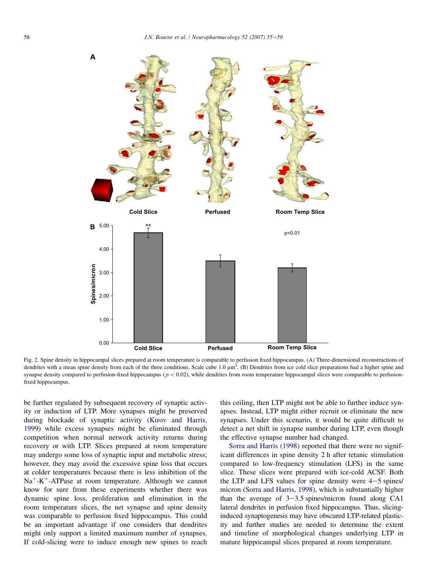<span id="page-3-0"></span>

Fig. 2. Spine density in hippocampal slices prepared at room temperature is comparable to perfusion fixed hippocampus. (A) Three-dimensional reconstructions of dendrites with a mean spine density from each of the three conditions. Scale cube  $1.0 \mu m^3$ . (B) Dendrites from ice cold slice preparations had a higher spine and synapse density compared to perfusion-fixed hippocampus ( $p < 0.02$ ), while dendrites from room temperature hippocampal slices were comparable to perfusionfixed hippocampus.

be further regulated by subsequent recovery of synaptic activity or induction of LTP. More synapses might be preserved during blockade of synaptic activity ([Kirov and Harris,](#page-4-0) [1999\)](#page-4-0) while excess synapses might be eliminated through competition when normal network activity returns during recovery or with LTP. Slices prepared at room temperature may undergo some loss of synaptic input and metabolic stress; however, they may avoid the excessive spine loss that occurs at colder temperatures because there is less inhibition of the  $Na<sup>+</sup>-K<sup>+</sup>-ATPase$  at room temperature. Although we cannot know for sure from these experiments whether there was dynamic spine loss, proliferation and elimination in the room temperature slices, the net synapse and spine density was comparable to perfusion fixed hippocampus. This could be an important advantage if one considers that dendrites might only support a limited maximum number of synapses. If cold-slicing were to induce enough new spines to reach this ceiling, then LTP might not be able to further induce synapses. Instead, LTP might either recruit or eliminate the new synapses. Under this scenario, it would be quite difficult to detect a net shift in synapse number during LTP, even though the effective synapse number had changed.

[Sorra and Harris \(1998\)](#page-4-0) reported that there were no significant differences in spine density 2 h after tetanic stimulation compared to low-frequency stimulation (LFS) in the same slice. These slices were prepared with ice-cold ACSF. Both the LTP and LFS values for spine density were  $4-5$  spines/ micron [\(Sorra and Harris, 1998](#page-4-0)), which is substantially higher than the average of  $3-3.5$  spines/micron found along CA1 lateral dendrites in perfusion fixed hippocampus. Thus, slicinginduced synaptogenesis may have obscured LTP-related plasticity and further studies are needed to determine the extent and timeline of morphological changes underlying LTP in mature hippocampal slices prepared at room temperature.